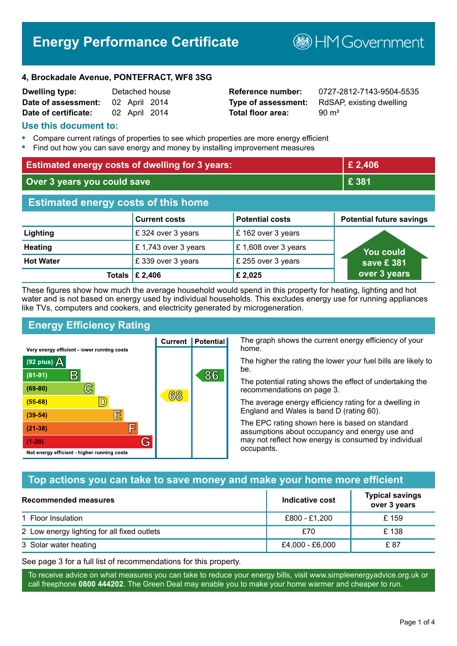# **Energy Performance Certificate**

**B**HM Government

#### **4, Brockadale Avenue, PONTEFRACT, WF8 3SG**

| <b>Dwelling type:</b> |               | Detached house |
|-----------------------|---------------|----------------|
| Date of assessment:   | 02 April 2014 |                |
| Date of certificate:  | 02 April 2014 |                |

# **Total floor area:** 90 m<sup>2</sup>

**Reference number:** 0727-2812-7143-9504-5535 **Type of assessment:** RdSAP, existing dwelling

#### **Use this document to:**

- **•** Compare current ratings of properties to see which properties are more energy efficient
- **•** Find out how you can save energy and money by installing improvement measures

| <b>Estimated energy costs of dwelling for 3 years:</b> |                           | £ 2,406                |                                 |
|--------------------------------------------------------|---------------------------|------------------------|---------------------------------|
| Over 3 years you could save                            |                           | £ 381                  |                                 |
| <b>Estimated energy costs of this home</b>             |                           |                        |                                 |
|                                                        | <b>Current costs</b>      | <b>Potential costs</b> | <b>Potential future savings</b> |
| Lighting                                               | £ 324 over 3 years        | £162 over 3 years      |                                 |
| <b>Heating</b>                                         | £1,743 over 3 years       | £1,608 over 3 years    | <b>You could</b>                |
| <b>Hot Water</b>                                       | £339 over 3 years         | £ 255 over 3 years     | save £381                       |
|                                                        | Totals $\mathsf{E}$ 2,406 | £2,025                 | over 3 years                    |

These figures show how much the average household would spend in this property for heating, lighting and hot water and is not based on energy used by individual households. This excludes energy use for running appliances like TVs, computers and cookers, and electricity generated by microgeneration.

**Current | Potential** 

68

# **Energy Efficiency Rating**

 $\mathbb{C}$ 

 $\mathbb{D}$ 

E

E

G

Very energy efficient - lower running costs

 $\mathsf{R}% _{T}$ 

Not energy efficient - higher running costs

(92 plus)  $\Delta$ 

 $(81 - 91)$  $(69 - 80)$ 

 $(55-68)$ 

 $(39 - 54)$  $(21-38)$ 

 $(1-20)$ 

The graph shows the current energy efficiency of your home.

The higher the rating the lower your fuel bills are likely to be.

The potential rating shows the effect of undertaking the recommendations on page 3.

The average energy efficiency rating for a dwelling in England and Wales is band D (rating 60).

The EPC rating shown here is based on standard assumptions about occupancy and energy use and may not reflect how energy is consumed by individual occupants.

# **Top actions you can take to save money and make your home more efficient**

86

| Recommended measures                        | Indicative cost | <b>Typical savings</b><br>over 3 years |
|---------------------------------------------|-----------------|----------------------------------------|
| 1 Floor Insulation                          | £800 - £1,200   | £ 159                                  |
| 2 Low energy lighting for all fixed outlets | £70             | £138                                   |
| 3 Solar water heating                       | £4,000 - £6,000 | £ 87                                   |

See page 3 for a full list of recommendations for this property.

To receive advice on what measures you can take to reduce your energy bills, visit www.simpleenergyadvice.org.uk or call freephone **0800 444202**. The Green Deal may enable you to make your home warmer and cheaper to run.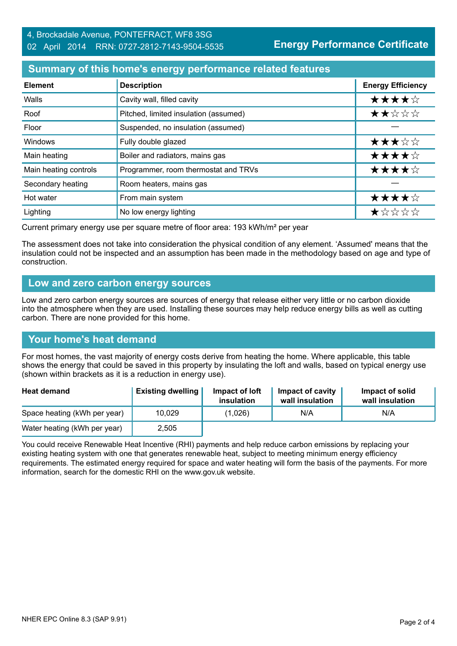**Energy Performance Certificate**

# **Summary of this home's energy performance related features**

| <b>Element</b>        | <b>Description</b>                    | <b>Energy Efficiency</b> |
|-----------------------|---------------------------------------|--------------------------|
| Walls                 | Cavity wall, filled cavity            | ★★★★☆                    |
| Roof                  | Pitched, limited insulation (assumed) | ★★☆☆☆                    |
| Floor                 | Suspended, no insulation (assumed)    |                          |
| <b>Windows</b>        | Fully double glazed                   | ★★★☆☆                    |
| Main heating          | Boiler and radiators, mains gas       | ★★★★☆                    |
| Main heating controls | Programmer, room thermostat and TRVs  | ★★★★☆                    |
| Secondary heating     | Room heaters, mains gas               |                          |
| Hot water             | From main system                      | ★★★★☆                    |
| Lighting              | No low energy lighting                | *****                    |

Current primary energy use per square metre of floor area: 193 kWh/m² per year

The assessment does not take into consideration the physical condition of any element. 'Assumed' means that the insulation could not be inspected and an assumption has been made in the methodology based on age and type of construction.

#### **Low and zero carbon energy sources**

Low and zero carbon energy sources are sources of energy that release either very little or no carbon dioxide into the atmosphere when they are used. Installing these sources may help reduce energy bills as well as cutting carbon. There are none provided for this home.

#### **Your home's heat demand**

For most homes, the vast majority of energy costs derive from heating the home. Where applicable, this table shows the energy that could be saved in this property by insulating the loft and walls, based on typical energy use (shown within brackets as it is a reduction in energy use).

| <b>Heat demand</b>           | <b>Existing dwelling</b> | Impact of loft<br>insulation | Impact of cavity<br>wall insulation | Impact of solid<br>wall insulation |
|------------------------------|--------------------------|------------------------------|-------------------------------------|------------------------------------|
| Space heating (kWh per year) | 10,029                   | (1,026)                      | N/A                                 | N/A                                |
| Water heating (kWh per year) | 2,505                    |                              |                                     |                                    |

You could receive Renewable Heat Incentive (RHI) payments and help reduce carbon emissions by replacing your existing heating system with one that generates renewable heat, subject to meeting minimum energy efficiency requirements. The estimated energy required for space and water heating will form the basis of the payments. For more information, search for the domestic RHI on the www.gov.uk website.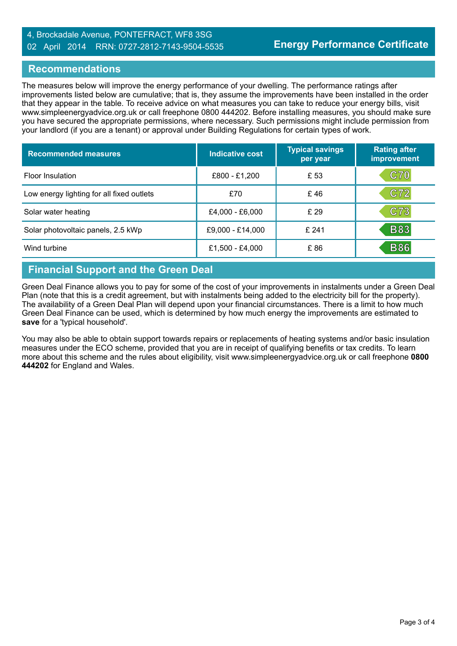#### 4, Brockadale Avenue, PONTEFRACT, WF8 3SG 02 April 2014 RRN: 0727-2812-7143-9504-5535

#### **Recommendations**

The measures below will improve the energy performance of your dwelling. The performance ratings after improvements listed below are cumulative; that is, they assume the improvements have been installed in the order that they appear in the table. To receive advice on what measures you can take to reduce your energy bills, visit www.simpleenergyadvice.org.uk or call freephone 0800 444202. Before installing measures, you should make sure you have secured the appropriate permissions, where necessary. Such permissions might include permission from your landlord (if you are a tenant) or approval under Building Regulations for certain types of work.

| <b>Recommended measures</b>               | Indicative cost  | <b>Typical savings</b><br>per year | <b>Rating after</b><br>improvement |
|-------------------------------------------|------------------|------------------------------------|------------------------------------|
| Floor Insulation                          | £800 - £1,200    | £ 53                               | <b>C70</b>                         |
| Low energy lighting for all fixed outlets | £70              | £46                                | C72                                |
| Solar water heating                       | £4,000 - £6,000  | £29                                | C73                                |
| Solar photovoltaic panels, 2.5 kWp        | £9,000 - £14,000 | £241                               | <b>B83</b>                         |
| Wind turbine                              | £1,500 - £4,000  | £86                                | <b>B86</b>                         |

# **Financial Support and the Green Deal**

Green Deal Finance allows you to pay for some of the cost of your improvements in instalments under a Green Deal Plan (note that this is a credit agreement, but with instalments being added to the electricity bill for the property). The availability of a Green Deal Plan will depend upon your financial circumstances. There is a limit to how much Green Deal Finance can be used, which is determined by how much energy the improvements are estimated to **save** for a 'typical household'.

You may also be able to obtain support towards repairs or replacements of heating systems and/or basic insulation measures under the ECO scheme, provided that you are in receipt of qualifying benefits or tax credits. To learn more about this scheme and the rules about eligibility, visit www.simpleenergyadvice.org.uk or call freephone **0800 444202** for England and Wales.